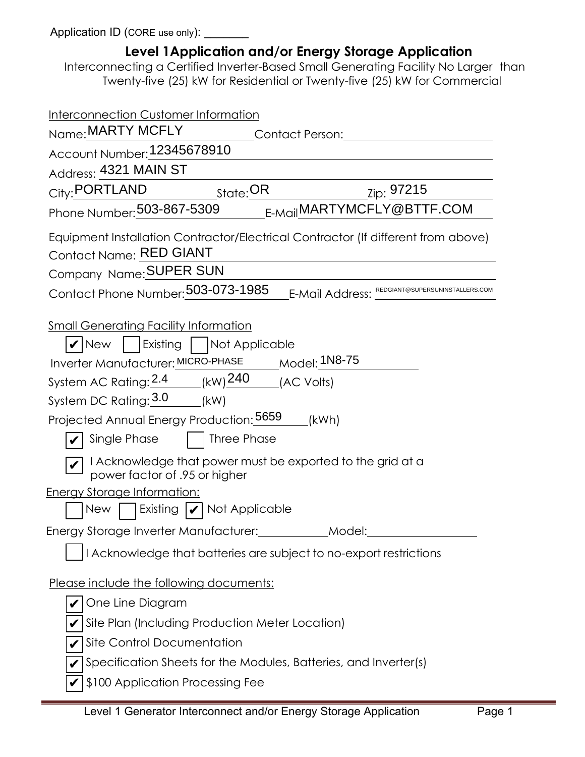Application ID (CORE use only): \_\_\_\_\_\_\_

| Level 1 Application and/or Energy Storage Application<br>Interconnecting a Certified Inverter-Based Small Generating Facility No Larger than<br>Twenty-five (25) kW for Residential or Twenty-five (25) kW for Commercial                                                                                                                                                                                                                                                                                                                          |
|----------------------------------------------------------------------------------------------------------------------------------------------------------------------------------------------------------------------------------------------------------------------------------------------------------------------------------------------------------------------------------------------------------------------------------------------------------------------------------------------------------------------------------------------------|
| Interconnection Customer Information                                                                                                                                                                                                                                                                                                                                                                                                                                                                                                               |
| Name: MARTY MCFLY<br><b>Contact Person: Contact Person:</b>                                                                                                                                                                                                                                                                                                                                                                                                                                                                                        |
| Account Number: 12345678910                                                                                                                                                                                                                                                                                                                                                                                                                                                                                                                        |
| Address: 4321 MAIN ST                                                                                                                                                                                                                                                                                                                                                                                                                                                                                                                              |
| City: PORTLAND<br>State: OR<br><sub>_Zip:</sub> 97215                                                                                                                                                                                                                                                                                                                                                                                                                                                                                              |
| Phone Number: 503-867-5309 E-Mail MARTYMCFLY@BTTF.COM                                                                                                                                                                                                                                                                                                                                                                                                                                                                                              |
| Equipment Installation Contractor/Electrical Contractor (If different from above)<br>Contact Name: RED GIANT<br>Company Name: SUPER SUN                                                                                                                                                                                                                                                                                                                                                                                                            |
| Contact Phone Number: 503-073-1985<br><b>E-Mail Address: EDGIANT@SUPERSUNINSTALLERS.COM</b>                                                                                                                                                                                                                                                                                                                                                                                                                                                        |
| <b>Small Generating Facility Information</b><br>$ V $ New   Existing $\Box$ Not Applicable<br>Inverter Manufacturer: MICRO-PHASE _____ Model: 1N8-75<br>System AC Rating: $2.4$ (kW) $240$ (AC Volts)<br>System DC Rating: 3.0 (kW)<br>Projected Annual Energy Production: 5659 [kWh]<br>Single Phase     Three Phase<br>$\overline{\mathcal{L}}$ I Acknowledge that power must be exported to the grid at a<br>power factor of .95 or higher<br><b>Energy Storage Information:</b><br>New   $\left $ Existing $ \boldsymbol{\nu} $ Not Applicable |
| Energy Storage Inverter Manufacturer: ____________ Model:                                                                                                                                                                                                                                                                                                                                                                                                                                                                                          |
| I Acknowledge that batteries are subject to no-export restrictions                                                                                                                                                                                                                                                                                                                                                                                                                                                                                 |
| Please include the following documents:<br>One Line Diagram<br>Site Plan (Including Production Meter Location)                                                                                                                                                                                                                                                                                                                                                                                                                                     |
| Site Control Documentation                                                                                                                                                                                                                                                                                                                                                                                                                                                                                                                         |
| Specification Sheets for the Modules, Batteries, and Inverter(s)                                                                                                                                                                                                                                                                                                                                                                                                                                                                                   |
| \$100 Application Processing Fee                                                                                                                                                                                                                                                                                                                                                                                                                                                                                                                   |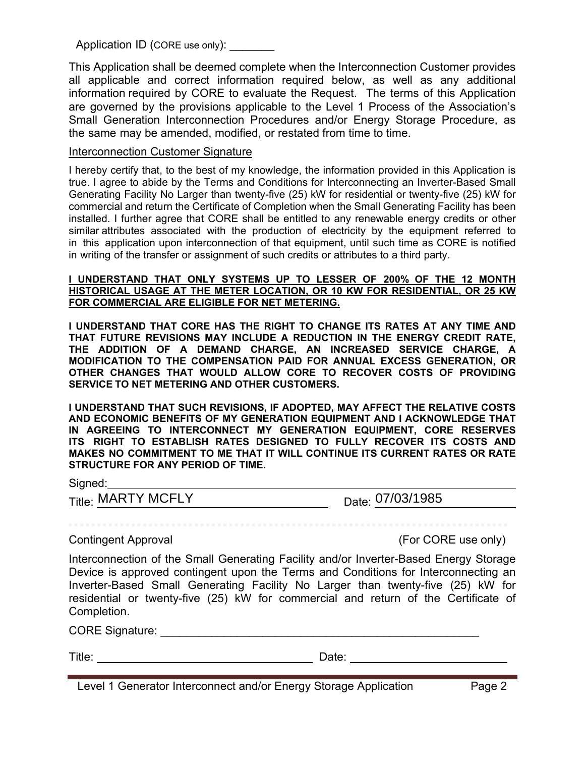Application ID (CORE use only):

This Application shall be deemed complete when the Interconnection Customer provides all applicable and correct information required below, as well as any additional information required by CORE to evaluate the Request. The terms of this Application are governed by the provisions applicable to the Level 1 Process of the Association's Small Generation Interconnection Procedures and/or Energy Storage Procedure, as the same may be amended, modified, or restated from time to time.

### Interconnection Customer Signature

I hereby certify that, to the best of my knowledge, the information provided in this Application is true. I agree to abide by the Terms and Conditions for Interconnecting an Inverter-Based Small Generating Facility No Larger than twenty-five (25) kW for residential or twenty-five (25) kW for commercial and return the Certificate of Completion when the Small Generating Facility has been installed. I further agree that CORE shall be entitled to any renewable energy credits or other similar attributes associated with the production of electricity by the equipment referred to in this application upon interconnection of that equipment, until such time as CORE is notified in writing of the transfer or assignment of such credits or attributes to a third party.

### I UNDERSTAND THAT ONLY SYSTEMS UP TO LESSER OF 200% OF THE 12 MONTH **HISTORICAL USAGE AT THE METER LOCATION, OR 10 KW FOR RESIDENTIAL, OR 25 KW FOR COMMERCIAL ARE ELIGIBLE FOR NET METERING.**

**I UNDERSTAND THAT CORE HAS THE RIGHT TO CHANGE ITS RATES AT ANY TIME AND THAT FUTURE REVISIONS MAY INCLUDE A REDUCTION IN THE ENERGY CREDIT RATE, THE ADDITION OF A DEMAND CHARGE, AN INCREASED SERVICE CHARGE, A MODIFICATION TO THE COMPENSATION PAID FOR ANNUAL EXCESS GENERATION, OR OTHER CHANGES THAT WOULD ALLOW CORE TO RECOVER COSTS OF PROVIDING SERVICE TO NET METERING AND OTHER CUSTOMERS.** 

**I UNDERSTAND THAT SUCH REVISIONS, IF ADOPTED, MAY AFFECT THE RELATIVE COSTS AND ECONOMIC BENEFITS OF MY GENERATION EQUIPMENT AND I ACKNOWLEDGE THAT IN AGREEING TO INTERCONNECT MY GENERATION EQUIPMENT, CORE RESERVES ITS RIGHT TO ESTABLISH RATES DESIGNED TO FULLY RECOVER ITS COSTS AND MAKES NO COMMITMENT TO ME THAT IT WILL CONTINUE ITS CURRENT RATES OR RATE STRUCTURE FOR ANY PERIOD OF TIME.**

| signed |  |  |  |
|--------|--|--|--|
|        |  |  |  |
|        |  |  |  |

Title: Date: MARTY MCFLY 07/03/1985

Contingent Approval (For CORE use only)

Interconnection of the Small Generating Facility and/or Inverter-Based Energy Storage Device is approved contingent upon the Terms and Conditions for Interconnecting an Inverter-Based Small Generating Facility No Larger than twenty-five (25) kW for residential or twenty-five (25) kW for commercial and return of the Certificate of Completion.

CORE Signature: \_\_\_\_\_\_\_\_\_\_\_\_\_\_\_\_\_\_\_\_\_\_\_\_\_\_\_\_\_\_\_\_\_\_\_\_\_\_\_\_\_\_\_\_\_\_\_\_\_\_

Title: Date: Date: Date: Date: Date: Date: Date: Date: Date: Date: Date: Date: Date: Date: Date: Date: Date: D

Level 1 Generator Interconnect and/or Energy Storage Application Page 2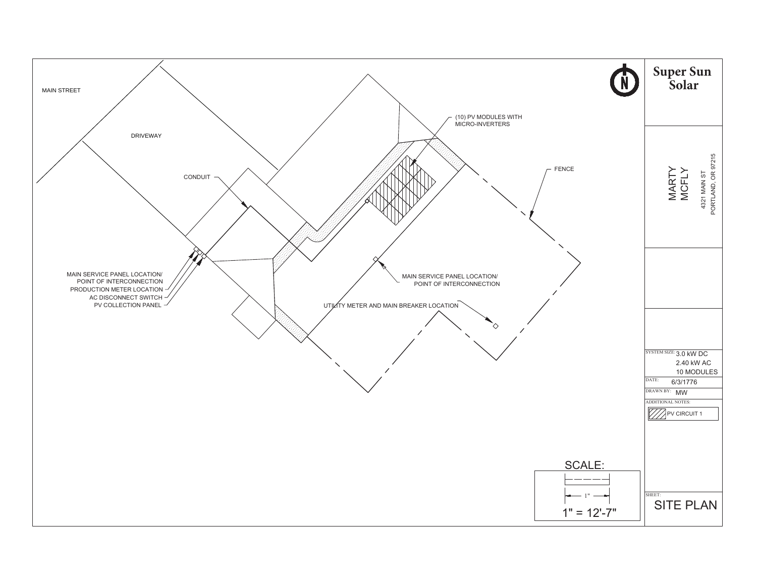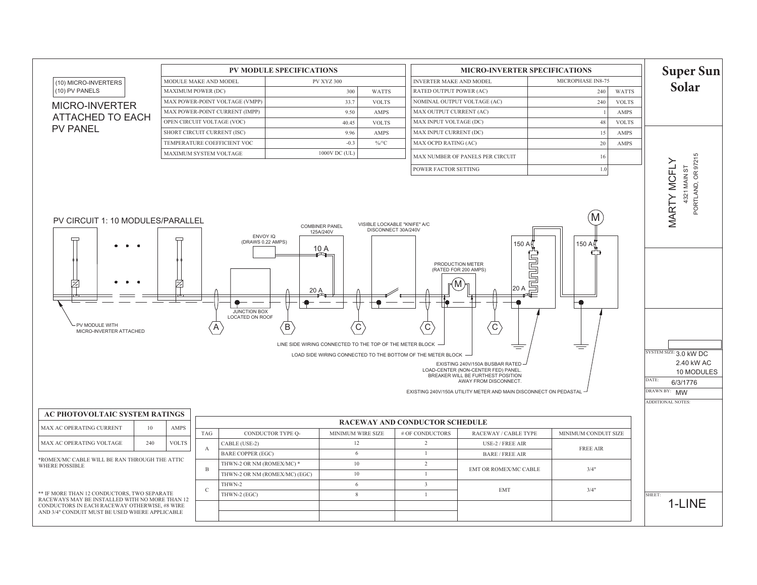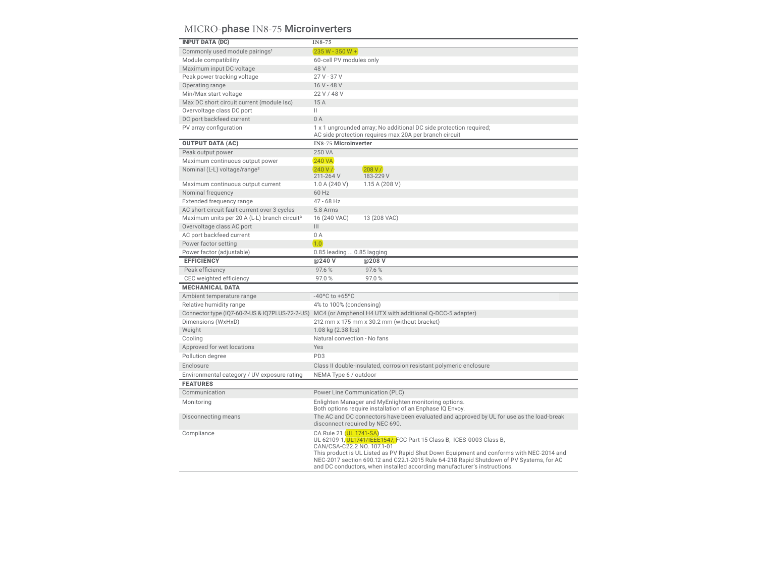# MICRO-phase IN8-75 Microinverters

| <b>INPUT DATA (DC)</b>                                   | IN8-75                                                                                                                                                                                                                                                                                                                                                                                           |
|----------------------------------------------------------|--------------------------------------------------------------------------------------------------------------------------------------------------------------------------------------------------------------------------------------------------------------------------------------------------------------------------------------------------------------------------------------------------|
| Commonly used module pairings <sup>1</sup>               | 235 W - 350 W +                                                                                                                                                                                                                                                                                                                                                                                  |
| Module compatibility                                     | 60-cell PV modules only                                                                                                                                                                                                                                                                                                                                                                          |
| Maximum input DC voltage                                 | 48 V                                                                                                                                                                                                                                                                                                                                                                                             |
| Peak power tracking voltage                              | $27V - 37V$                                                                                                                                                                                                                                                                                                                                                                                      |
| Operating range                                          | 16 V - 48 V                                                                                                                                                                                                                                                                                                                                                                                      |
| Min/Max start voltage                                    | 22 V / 48 V                                                                                                                                                                                                                                                                                                                                                                                      |
| Max DC short circuit current (module Isc)                | 15A                                                                                                                                                                                                                                                                                                                                                                                              |
| Overvoltage class DC port                                | Ш                                                                                                                                                                                                                                                                                                                                                                                                |
| DC port backfeed current                                 | 0A                                                                                                                                                                                                                                                                                                                                                                                               |
| PV array configuration                                   | 1 x 1 ungrounded array; No additional DC side protection required;<br>AC side protection requires max 20A per branch circuit                                                                                                                                                                                                                                                                     |
| <b>OUTPUT DATA (AC)</b>                                  | <b>IN8-75 Microinverter</b>                                                                                                                                                                                                                                                                                                                                                                      |
| Peak output power                                        | 250 VA                                                                                                                                                                                                                                                                                                                                                                                           |
| Maximum continuous output power                          | <b>240 VA</b>                                                                                                                                                                                                                                                                                                                                                                                    |
| Nominal (L-L) voltage/range <sup>2</sup>                 | 240 V/<br>208 V/<br>211-264 V<br>183-229 V                                                                                                                                                                                                                                                                                                                                                       |
| Maximum continuous output current                        | 1.0 A (240 V)<br>1.15A(208V)                                                                                                                                                                                                                                                                                                                                                                     |
| Nominal frequency                                        | 60 Hz                                                                                                                                                                                                                                                                                                                                                                                            |
| Extended frequency range                                 | $47 - 68$ Hz                                                                                                                                                                                                                                                                                                                                                                                     |
| AC short circuit fault current over 3 cycles             | 5.8 Arms                                                                                                                                                                                                                                                                                                                                                                                         |
| Maximum units per 20 A (L-L) branch circuit <sup>3</sup> | 16 (240 VAC)<br>13 (208 VAC)                                                                                                                                                                                                                                                                                                                                                                     |
| Overvoltage class AC port                                | $\vert\vert\vert$                                                                                                                                                                                                                                                                                                                                                                                |
| AC port backfeed current                                 | 0A                                                                                                                                                                                                                                                                                                                                                                                               |
| Power factor setting                                     | 1.0                                                                                                                                                                                                                                                                                                                                                                                              |
| Power factor (adjustable)                                | 0.85 leading  0.85 lagging                                                                                                                                                                                                                                                                                                                                                                       |
| <b>EFFICIENCY</b>                                        | @240 V<br>@208 V                                                                                                                                                                                                                                                                                                                                                                                 |
| Peak efficiency                                          | 97.6%<br>97.6%                                                                                                                                                                                                                                                                                                                                                                                   |
| CEC weighted efficiency                                  | 97.0%<br>97.0%                                                                                                                                                                                                                                                                                                                                                                                   |
| <b>MECHANICAL DATA</b>                                   |                                                                                                                                                                                                                                                                                                                                                                                                  |
| Ambient temperature range                                | $-40^{\circ}$ C to $+65^{\circ}$ C                                                                                                                                                                                                                                                                                                                                                               |
| Relative humidity range                                  | 4% to 100% (condensing)                                                                                                                                                                                                                                                                                                                                                                          |
|                                                          | Connector type (IQ7-60-2-US & IQ7PLUS-72-2-US) MC4 (or Amphenol H4 UTX with additional Q-DCC-5 adapter)                                                                                                                                                                                                                                                                                          |
| Dimensions (WxHxD)                                       | 212 mm x 175 mm x 30.2 mm (without bracket)                                                                                                                                                                                                                                                                                                                                                      |
| Weight                                                   | 1.08 kg (2.38 lbs)                                                                                                                                                                                                                                                                                                                                                                               |
| Cooling                                                  | Natural convection - No fans                                                                                                                                                                                                                                                                                                                                                                     |
| Approved for wet locations                               | Yes                                                                                                                                                                                                                                                                                                                                                                                              |
| Pollution degree                                         | PD <sub>3</sub>                                                                                                                                                                                                                                                                                                                                                                                  |
| Enclosure                                                | Class II double-insulated, corrosion resistant polymeric enclosure                                                                                                                                                                                                                                                                                                                               |
| Environmental category / UV exposure rating              | NEMA Type 6 / outdoor                                                                                                                                                                                                                                                                                                                                                                            |
| <b>FEATURES</b>                                          |                                                                                                                                                                                                                                                                                                                                                                                                  |
| Communication                                            | Power Line Communication (PLC)                                                                                                                                                                                                                                                                                                                                                                   |
|                                                          |                                                                                                                                                                                                                                                                                                                                                                                                  |
| Monitoring                                               | Enlighten Manager and MyEnlighten monitoring options.<br>Both options require installation of an Enphase IQ Envoy.                                                                                                                                                                                                                                                                               |
| Disconnecting means                                      | The AC and DC connectors have been evaluated and approved by UL for use as the load-break<br>disconnect required by NEC 690.                                                                                                                                                                                                                                                                     |
| Compliance                                               | CA Rule 21 (UL 1741-SA)<br>UL 62109-1, UL1741/IEEE1547, FCC Part 15 Class B, ICES-0003 Class B,<br>CAN/CSA-C22.2 NO. 107.1-01<br>This product is UL Listed as PV Rapid Shut Down Equipment and conforms with NEC-2014 and<br>NEC-2017 section 690.12 and C22.1-2015 Rule 64-218 Rapid Shutdown of PV Systems, for AC<br>and DC conductors, when installed according manufacturer's instructions. |